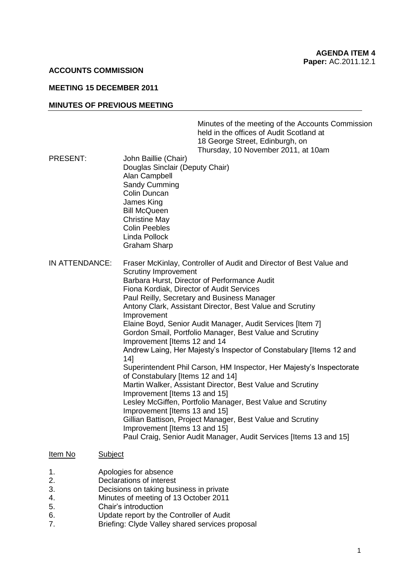### **ACCOUNTS COMMISSION**

# **MEETING 15 DECEMBER 2011**

### **MINUTES OF PREVIOUS MEETING**

| PRESENT:       | John Baillie (Chair)                                                                                                                                                                                                                                                                                                                                                                                                                                                                                                                                                                                                                                                                                                                                                                                                                                                                                                                                                                                                                                | Minutes of the meeting of the Accounts Commission<br>held in the offices of Audit Scotland at<br>18 George Street, Edinburgh, on<br>Thursday, 10 November 2011, at 10am |
|----------------|-----------------------------------------------------------------------------------------------------------------------------------------------------------------------------------------------------------------------------------------------------------------------------------------------------------------------------------------------------------------------------------------------------------------------------------------------------------------------------------------------------------------------------------------------------------------------------------------------------------------------------------------------------------------------------------------------------------------------------------------------------------------------------------------------------------------------------------------------------------------------------------------------------------------------------------------------------------------------------------------------------------------------------------------------------|-------------------------------------------------------------------------------------------------------------------------------------------------------------------------|
|                | Douglas Sinclair (Deputy Chair)<br>Alan Campbell<br>Sandy Cumming<br>Colin Duncan<br>James King<br><b>Bill McQueen</b><br><b>Christine May</b><br><b>Colin Peebles</b><br>Linda Pollock<br><b>Graham Sharp</b>                                                                                                                                                                                                                                                                                                                                                                                                                                                                                                                                                                                                                                                                                                                                                                                                                                      |                                                                                                                                                                         |
| IN ATTENDANCE: | Fraser McKinlay, Controller of Audit and Director of Best Value and<br><b>Scrutiny Improvement</b><br>Barbara Hurst, Director of Performance Audit<br>Fiona Kordiak, Director of Audit Services<br>Paul Reilly, Secretary and Business Manager<br>Antony Clark, Assistant Director, Best Value and Scrutiny<br>Improvement<br>Elaine Boyd, Senior Audit Manager, Audit Services [Item 7]<br>Gordon Smail, Portfolio Manager, Best Value and Scrutiny<br>Improvement [Items 12 and 14<br>Andrew Laing, Her Majesty's Inspector of Constabulary [Items 12 and<br>14]<br>Superintendent Phil Carson, HM Inspector, Her Majesty's Inspectorate<br>of Constabulary [Items 12 and 14]<br>Martin Walker, Assistant Director, Best Value and Scrutiny<br>Improvement [Items 13 and 15]<br>Lesley McGiffen, Portfolio Manager, Best Value and Scrutiny<br>Improvement [Items 13 and 15]<br>Gillian Battison, Project Manager, Best Value and Scrutiny<br>Improvement [Items 13 and 15]<br>Paul Craig, Senior Audit Manager, Audit Services [Items 13 and 15] |                                                                                                                                                                         |

#### Item No Subject

- 1. Apologies for absence
- 2. Declarations of interest
- 3. Decisions on taking business in private
- 4. Minutes of meeting of 13 October 2011
- 5. Chair"s introduction
- 6. Update report by the Controller of Audit<br>7. Briefing: Clyde Valley shared services by
- **Briefing: Clyde Valley shared services proposal**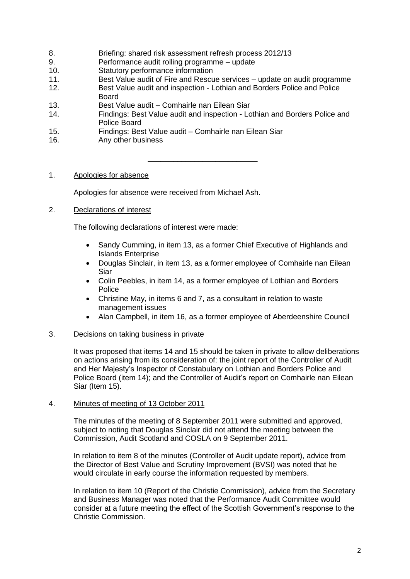- 8. Briefing: shared risk assessment refresh process 2012/13
- 9. Performance audit rolling programme update
- 10. Statutory performance information
- 11. Best Value audit of Fire and Rescue services update on audit programme
- 12. Best Value audit and inspection Lothian and Borders Police and Police Board
- 13. Best Value audit Comhairle nan Eilean Siar
- 14. Findings: Best Value audit and inspection Lothian and Borders Police and Police Board
- 15. Findings: Best Value audit Comhairle nan Eilean Siar
- 16. Any other business

\_\_\_\_\_\_\_\_\_\_\_\_\_\_\_\_\_\_\_\_\_\_\_\_\_\_

# 1. Apologies for absence

Apologies for absence were received from Michael Ash.

# 2. Declarations of interest

The following declarations of interest were made:

- Sandy Cumming, in item 13, as a former Chief Executive of Highlands and Islands Enterprise
- Douglas Sinclair, in item 13, as a former employee of Comhairle nan Eilean Siar
- Colin Peebles, in item 14, as a former employee of Lothian and Borders Police
- Christine May, in items 6 and 7, as a consultant in relation to waste management issues
- Alan Campbell, in item 16, as a former employee of Aberdeenshire Council

## 3. Decisions on taking business in private

It was proposed that items 14 and 15 should be taken in private to allow deliberations on actions arising from its consideration of: the joint report of the Controller of Audit and Her Majesty"s Inspector of Constabulary on Lothian and Borders Police and Police Board (item 14); and the Controller of Audit's report on Comhairle nan Eilean Siar (Item 15).

## 4. Minutes of meeting of 13 October 2011

The minutes of the meeting of 8 September 2011 were submitted and approved, subject to noting that Douglas Sinclair did not attend the meeting between the Commission, Audit Scotland and COSLA on 9 September 2011.

In relation to item 8 of the minutes (Controller of Audit update report), advice from the Director of Best Value and Scrutiny Improvement (BVSI) was noted that he would circulate in early course the information requested by members.

In relation to item 10 (Report of the Christie Commission), advice from the Secretary and Business Manager was noted that the Performance Audit Committee would consider at a future meeting the effect of the Scottish Government"s response to the Christie Commission.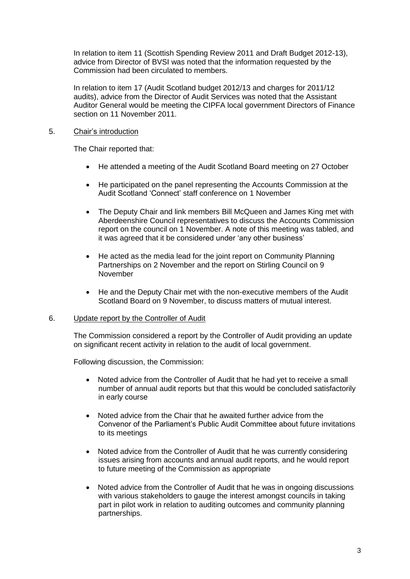In relation to item 11 (Scottish Spending Review 2011 and Draft Budget 2012-13), advice from Director of BVSI was noted that the information requested by the Commission had been circulated to members.

In relation to item 17 (Audit Scotland budget 2012/13 and charges for 2011/12 audits), advice from the Director of Audit Services was noted that the Assistant Auditor General would be meeting the CIPFA local government Directors of Finance section on 11 November 2011.

# 5. Chair"s introduction

The Chair reported that:

- He attended a meeting of the Audit Scotland Board meeting on 27 October
- He participated on the panel representing the Accounts Commission at the Audit Scotland "Connect" staff conference on 1 November
- The Deputy Chair and link members Bill McQueen and James King met with Aberdeenshire Council representatives to discuss the Accounts Commission report on the council on 1 November. A note of this meeting was tabled, and it was agreed that it be considered under "any other business"
- He acted as the media lead for the joint report on Community Planning Partnerships on 2 November and the report on Stirling Council on 9 November
- He and the Deputy Chair met with the non-executive members of the Audit Scotland Board on 9 November, to discuss matters of mutual interest.

## 6. Update report by the Controller of Audit

The Commission considered a report by the Controller of Audit providing an update on significant recent activity in relation to the audit of local government.

Following discussion, the Commission:

- Noted advice from the Controller of Audit that he had yet to receive a small number of annual audit reports but that this would be concluded satisfactorily in early course
- Noted advice from the Chair that he awaited further advice from the Convenor of the Parliament"s Public Audit Committee about future invitations to its meetings
- Noted advice from the Controller of Audit that he was currently considering issues arising from accounts and annual audit reports, and he would report to future meeting of the Commission as appropriate
- Noted advice from the Controller of Audit that he was in ongoing discussions with various stakeholders to gauge the interest amongst councils in taking part in pilot work in relation to auditing outcomes and community planning partnerships.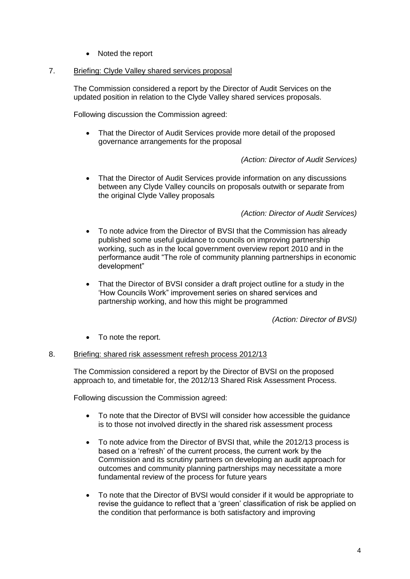• Noted the report

## 7. Briefing: Clyde Valley shared services proposal

The Commission considered a report by the Director of Audit Services on the updated position in relation to the Clyde Valley shared services proposals.

Following discussion the Commission agreed:

• That the Director of Audit Services provide more detail of the proposed governance arrangements for the proposal

# *(Action: Director of Audit Services)*

 That the Director of Audit Services provide information on any discussions between any Clyde Valley councils on proposals outwith or separate from the original Clyde Valley proposals

# *(Action: Director of Audit Services)*

- To note advice from the Director of BVSI that the Commission has already published some useful guidance to councils on improving partnership working, such as in the local government overview report 2010 and in the performance audit "The role of community planning partnerships in economic development"
- That the Director of BVSI consider a draft project outline for a study in the "How Councils Work" improvement series on shared services and partnership working, and how this might be programmed

*(Action: Director of BVSI)*

• To note the report.

## 8. Briefing: shared risk assessment refresh process 2012/13

The Commission considered a report by the Director of BVSI on the proposed approach to, and timetable for, the 2012/13 Shared Risk Assessment Process.

Following discussion the Commission agreed:

- To note that the Director of BVSI will consider how accessible the guidance is to those not involved directly in the shared risk assessment process
- To note advice from the Director of BVSI that, while the 2012/13 process is based on a "refresh" of the current process, the current work by the Commission and its scrutiny partners on developing an audit approach for outcomes and community planning partnerships may necessitate a more fundamental review of the process for future years
- To note that the Director of BVSI would consider if it would be appropriate to revise the guidance to reflect that a "green" classification of risk be applied on the condition that performance is both satisfactory and improving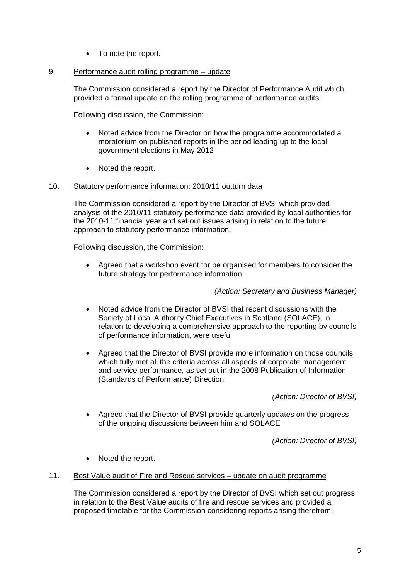• To note the report.

## 9. Performance audit rolling programme – update

The Commission considered a report by the Director of Performance Audit which provided a formal update on the rolling programme of performance audits.

Following discussion, the Commission:

- Noted advice from the Director on how the programme accommodated a moratorium on published reports in the period leading up to the local government elections in May 2012
- Noted the report.

## 10. Statutory performance information: 2010/11 outturn data

The Commission considered a report by the Director of BVSI which provided analysis of the 2010/11 statutory performance data provided by local authorities for the 2010-11 financial year and set out issues arising in relation to the future approach to statutory performance information.

Following discussion, the Commission:

 Agreed that a workshop event for be organised for members to consider the future strategy for performance information

*(Action: Secretary and Business Manager)*

- Noted advice from the Director of BVSI that recent discussions with the Society of Local Authority Chief Executives in Scotland (SOLACE), in relation to developing a comprehensive approach to the reporting by councils of performance information, were useful
- Agreed that the Director of BVSI provide more information on those councils which fully met all the criteria across all aspects of corporate management and service performance, as set out in the 2008 Publication of Information (Standards of Performance) Direction

*(Action: Director of BVSI)*

 Agreed that the Director of BVSI provide quarterly updates on the progress of the ongoing discussions between him and SOLACE

*(Action: Director of BVSI)*

- Noted the report.
- 11. Best Value audit of Fire and Rescue services update on audit programme

The Commission considered a report by the Director of BVSI which set out progress in relation to the Best Value audits of fire and rescue services and provided a proposed timetable for the Commission considering reports arising therefrom.